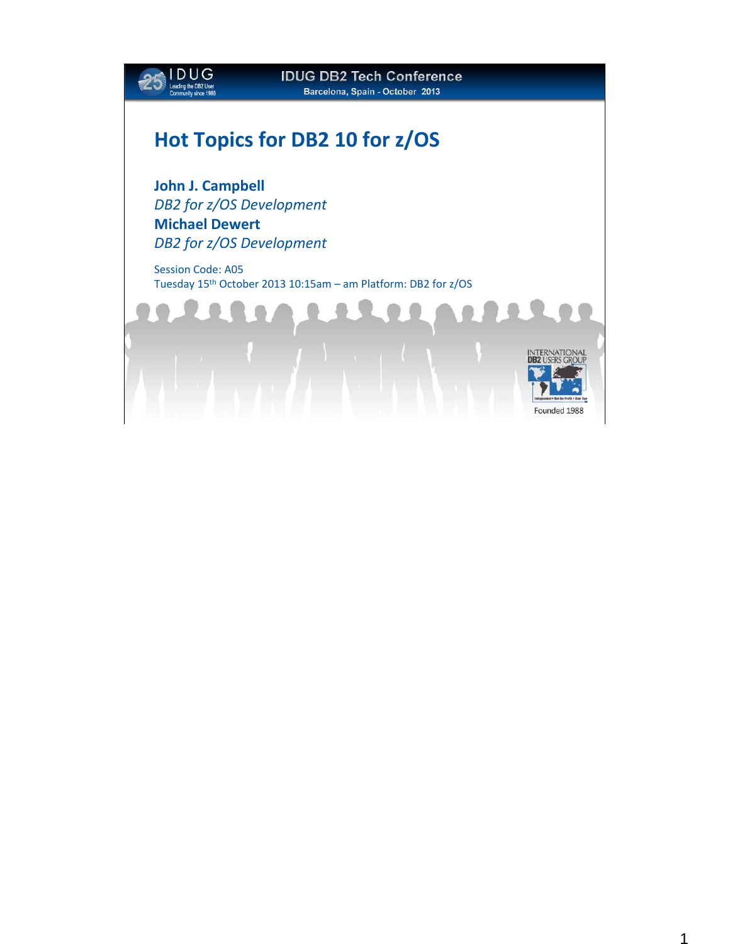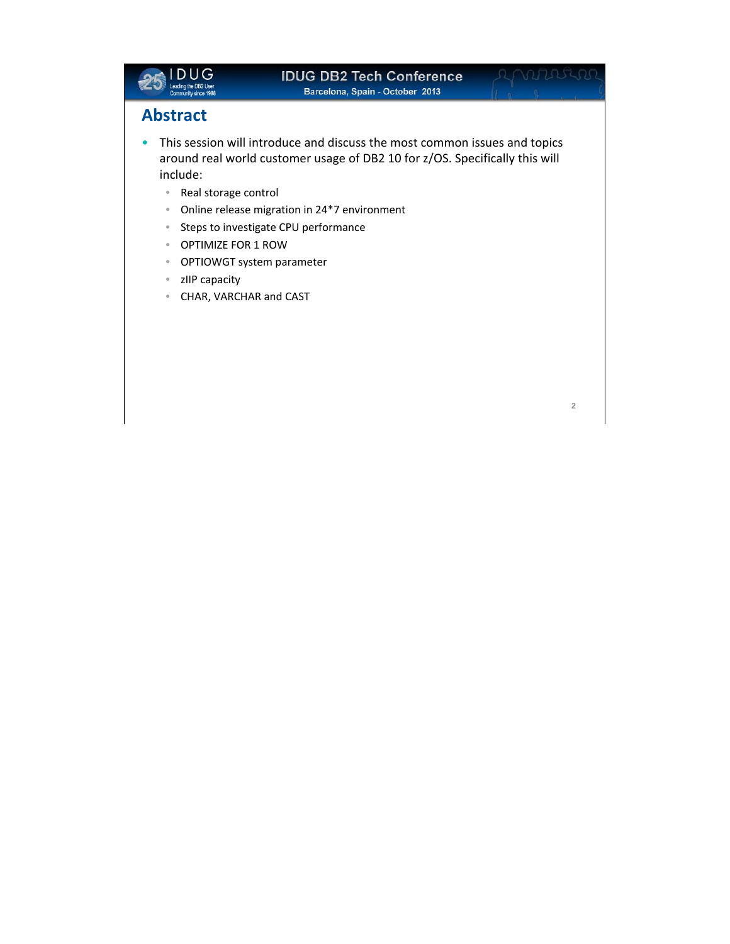

**2**

## **Abstract**

- This session will introduce and discuss the most common issues and topics around real world customer usage of DB2 10 for z/OS. Specifically this will include:
	- Real storage control
	- Online release migration in 24\*7 environment
	- Steps to investigate CPU performance
	- OPTIMIZE FOR 1 ROW
	- OPTIOWGT system parameter
	- zIIP capacity
	- CHAR, VARCHAR and CAST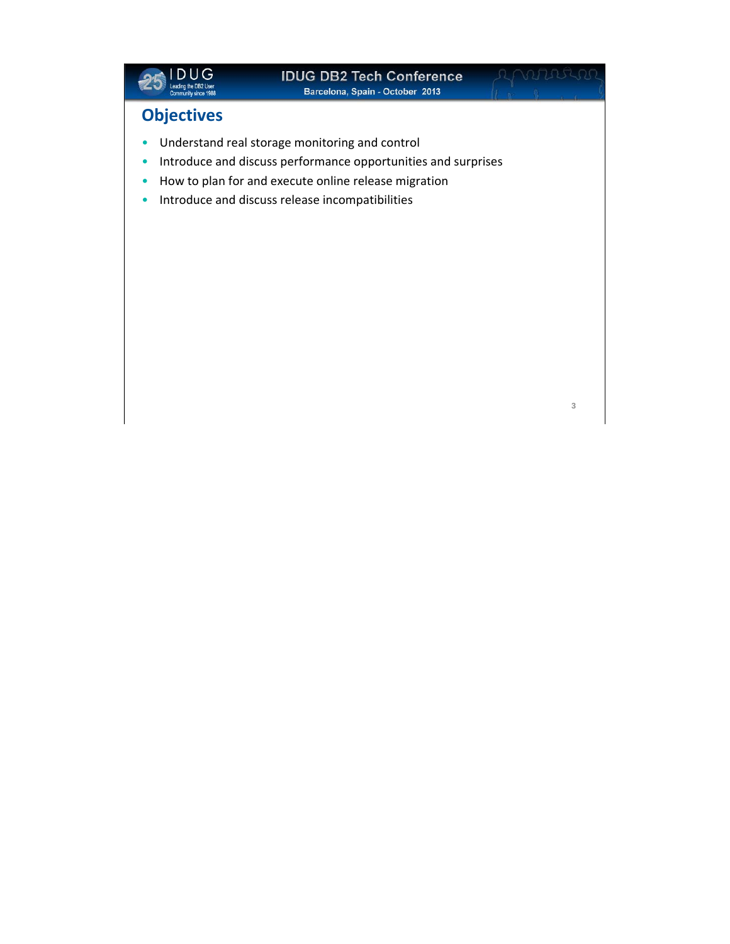

# **Objectives**

- Understand real storage monitoring and control
- Introduce and discuss performance opportunities and surprises
- How to plan for and execute online release migration
- Introduce and discuss release incompatibilities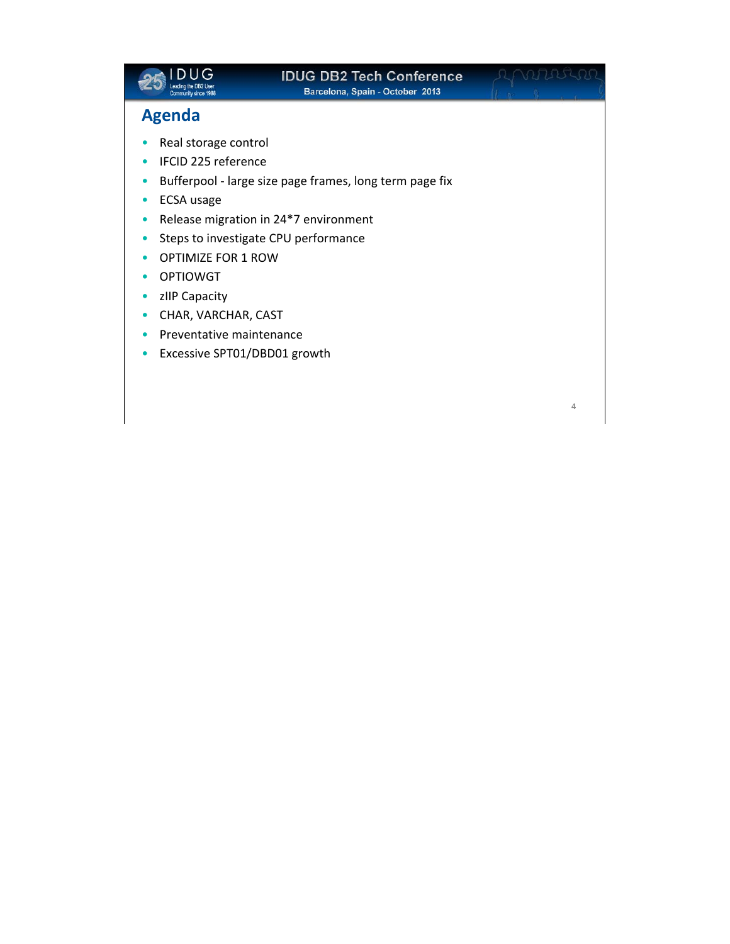

**4**

## **Agenda**

- Real storage control
- IFCID 225 reference
- Bufferpool ‐ large size page frames, long term page fix
- ECSA usage
- Release migration in 24\*7 environment
- Steps to investigate CPU performance
- OPTIMIZE FOR 1 ROW
- OPTIOWGT
- zIIP Capacity
- CHAR, VARCHAR, CAST
- Preventative maintenance
- Excessive SPT01/DBD01 growth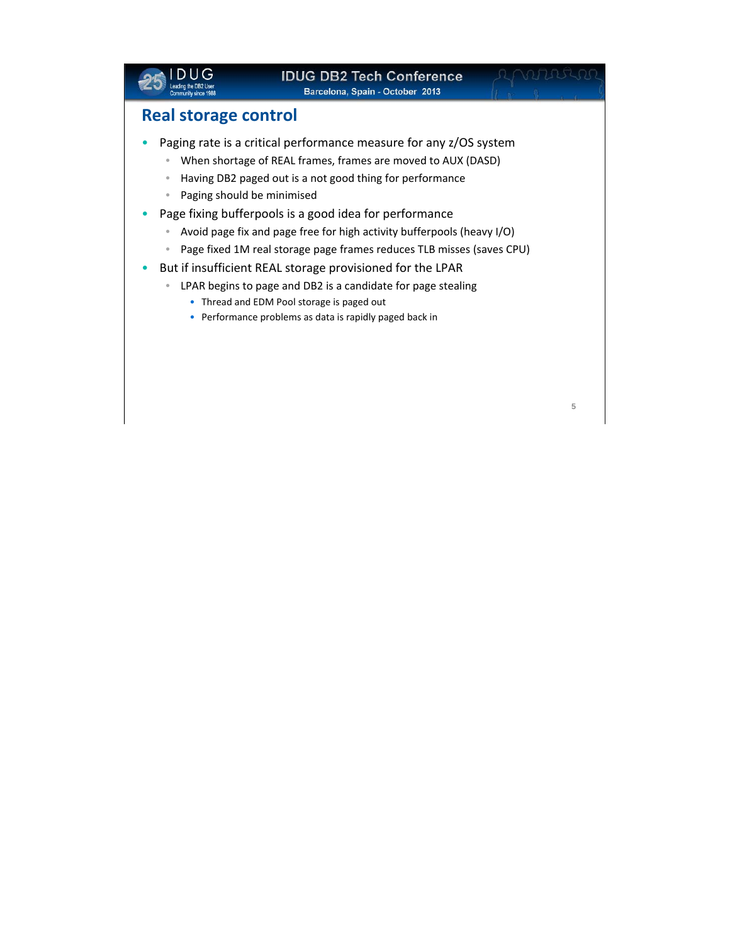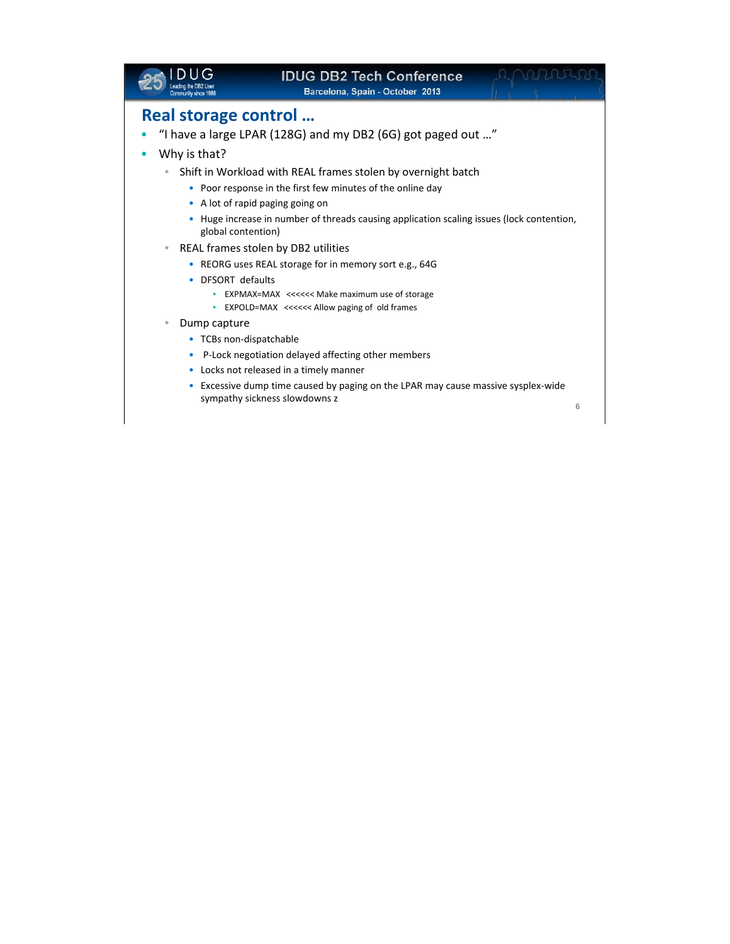|                         | <b>IDUG DB2 Tech Conference</b><br>Barcelona, Spain - October 2013                                               |   |
|-------------------------|------------------------------------------------------------------------------------------------------------------|---|
| Real storage control    |                                                                                                                  |   |
|                         | "I have a large LPAR (128G) and my DB2 (6G) got paged out "                                                      |   |
| Why is that?<br>٠       |                                                                                                                  |   |
|                         | Shift in Workload with REAL frames stolen by overnight batch                                                     |   |
|                         | • Poor response in the first few minutes of the online day                                                       |   |
| ۰                       | A lot of rapid paging going on                                                                                   |   |
| ۰<br>global contention) | Huge increase in number of threads causing application scaling issues (lock contention,                          |   |
| $\qquad \qquad \bullet$ | REAL frames stolen by DB2 utilities                                                                              |   |
|                         | • REORG uses REAL storage for in memory sort e.g., 64G                                                           |   |
| DFSORT defaults         |                                                                                                                  |   |
|                         | EXPMAX=MAX <<<<<<<<<<<<<>Make maximum use of storage<br>EXPOLD=MAX <<<<<< Allow paging of old frames             |   |
| Dump capture            |                                                                                                                  |   |
| • TCBs non-dispatchable |                                                                                                                  |   |
| ۰                       | P-Lock negotiation delayed affecting other members                                                               |   |
|                         | Locks not released in a timely manner                                                                            |   |
| ٠                       | Excessive dump time caused by paging on the LPAR may cause massive sysplex-wide<br>sympathy sickness slowdowns z | 6 |
|                         |                                                                                                                  |   |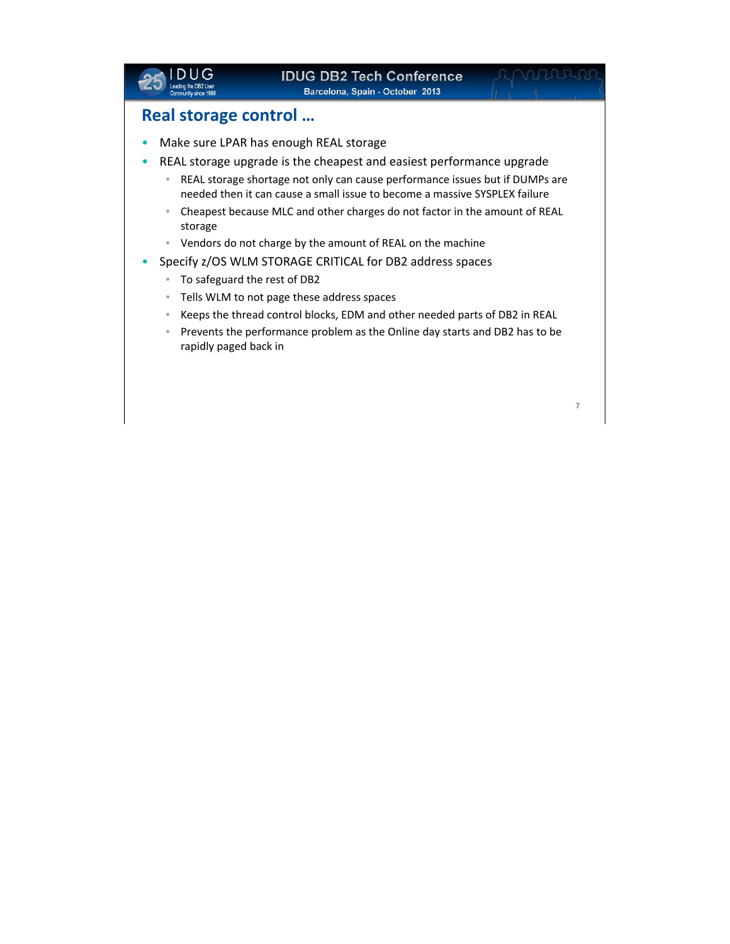

## **Real storage control …**

- Make sure LPAR has enough REAL storage
- REAL storage upgrade is the cheapest and easiest performance upgrade
	- REAL storage shortage not only can cause performance issues but if DUMPs are needed then it can cause a small issue to become a massive SYSPLEX failure
	- Cheapest because MLC and other charges do not factor in the amount of REAL storage
	- Vendors do not charge by the amount of REAL on the machine
- Specify z/OS WLM STORAGE CRITICAL for DB2 address spaces
	- To safeguard the rest of DB2
	- Tells WLM to not page these address spaces
	- Keeps the thread control blocks, EDM and other needed parts of DB2 in REAL
	- Prevents the performance problem as the Online day starts and DB2 has to be rapidly paged back in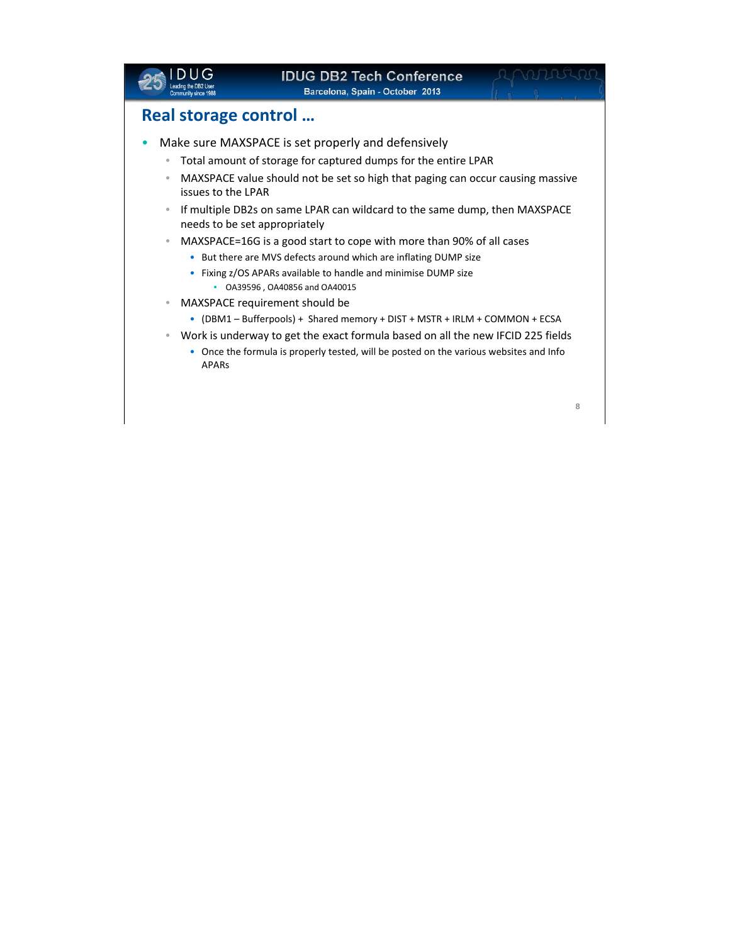|                                               | <b>IDUG DB2 Tech Conference</b><br>Barcelona, Spain - October 2013                                          |   |
|-----------------------------------------------|-------------------------------------------------------------------------------------------------------------|---|
| Real storage control                          |                                                                                                             |   |
|                                               | Make sure MAXSPACE is set properly and defensively                                                          |   |
| ۰                                             | Total amount of storage for captured dumps for the entire LPAR                                              |   |
| $\color{black} \bullet$<br>issues to the LPAR | MAXSPACE value should not be set so high that paging can occur causing massive                              |   |
| $\qquad \qquad \bullet$                       | If multiple DB2s on same LPAR can wildcard to the same dump, then MAXSPACE<br>needs to be set appropriately |   |
| $\color{black} \bullet$                       | MAXSPACE=16G is a good start to cope with more than 90% of all cases                                        |   |
|                                               | • But there are MVS defects around which are inflating DUMP size                                            |   |
|                                               | Fixing z/OS APARs available to handle and minimise DUMP size<br>OA39596, OA40856 and OA40015                |   |
| ۰                                             | MAXSPACE requirement should be                                                                              |   |
|                                               | • (DBM1 – Bufferpools) + Shared memory + DIST + MSTR + IRLM + COMMON + ECSA                                 |   |
| ۰                                             | Work is underway to get the exact formula based on all the new IFCID 225 fields                             |   |
| <b>APARS</b>                                  | Once the formula is properly tested, will be posted on the various websites and Info                        |   |
|                                               |                                                                                                             |   |
|                                               |                                                                                                             | 8 |
|                                               |                                                                                                             |   |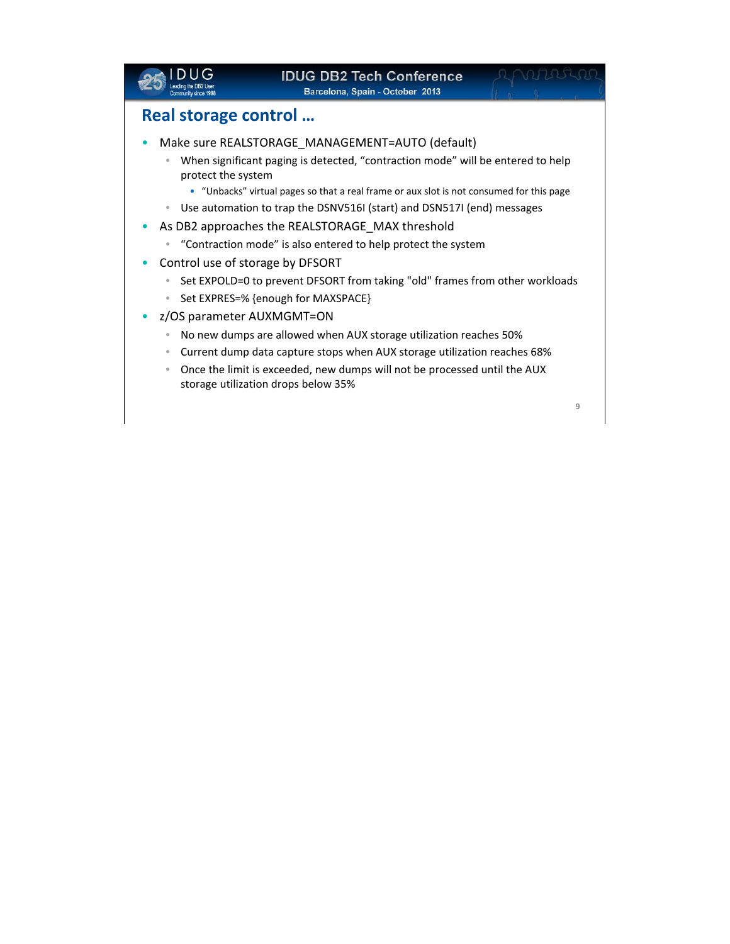|                                                                                                          | <b>IDUG DB2 Tech Conference</b><br>Barcelona, Spain - October 2013                                                                                                                                                                                                                                                                                                                                                                                                                                                                                                                                                                                                                                                                                                                                                                                                                                             |   |
|----------------------------------------------------------------------------------------------------------|----------------------------------------------------------------------------------------------------------------------------------------------------------------------------------------------------------------------------------------------------------------------------------------------------------------------------------------------------------------------------------------------------------------------------------------------------------------------------------------------------------------------------------------------------------------------------------------------------------------------------------------------------------------------------------------------------------------------------------------------------------------------------------------------------------------------------------------------------------------------------------------------------------------|---|
|                                                                                                          | Real storage control                                                                                                                                                                                                                                                                                                                                                                                                                                                                                                                                                                                                                                                                                                                                                                                                                                                                                           |   |
| ۰<br>$\bullet$<br>$\bullet$<br>$\bullet$<br>۰<br>۰<br>$\color{black} \bullet$<br>$\qquad \qquad \bullet$ | Make sure REALSTORAGE_MANAGEMENT=AUTO (default)<br>When significant paging is detected, "contraction mode" will be entered to help<br>protect the system<br>• "Unbacks" virtual pages so that a real frame or aux slot is not consumed for this page<br>Use automation to trap the DSNV516I (start) and DSN517I (end) messages<br>As DB2 approaches the REALSTORAGE MAX threshold<br>"Contraction mode" is also entered to help protect the system<br>Control use of storage by DFSORT<br>Set EXPOLD=0 to prevent DFSORT from taking "old" frames from other workloads<br>Set EXPRES=% {enough for MAXSPACE}<br>z/OS parameter AUXMGMT=ON<br>No new dumps are allowed when AUX storage utilization reaches 50%<br>Current dump data capture stops when AUX storage utilization reaches 68%<br>Once the limit is exceeded, new dumps will not be processed until the AUX<br>storage utilization drops below 35% |   |
|                                                                                                          |                                                                                                                                                                                                                                                                                                                                                                                                                                                                                                                                                                                                                                                                                                                                                                                                                                                                                                                | 9 |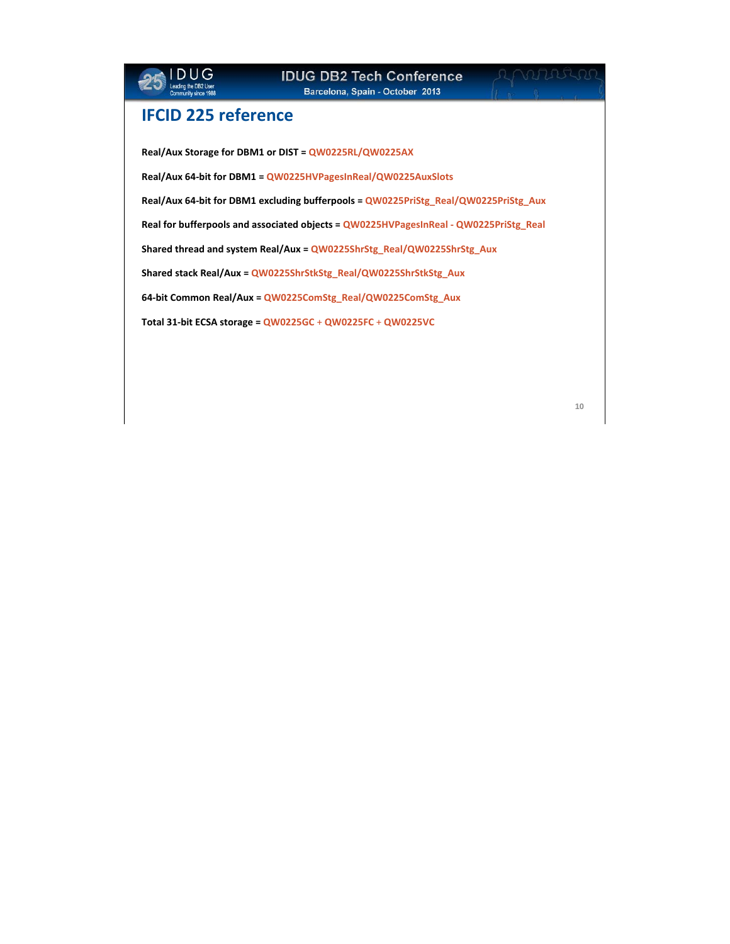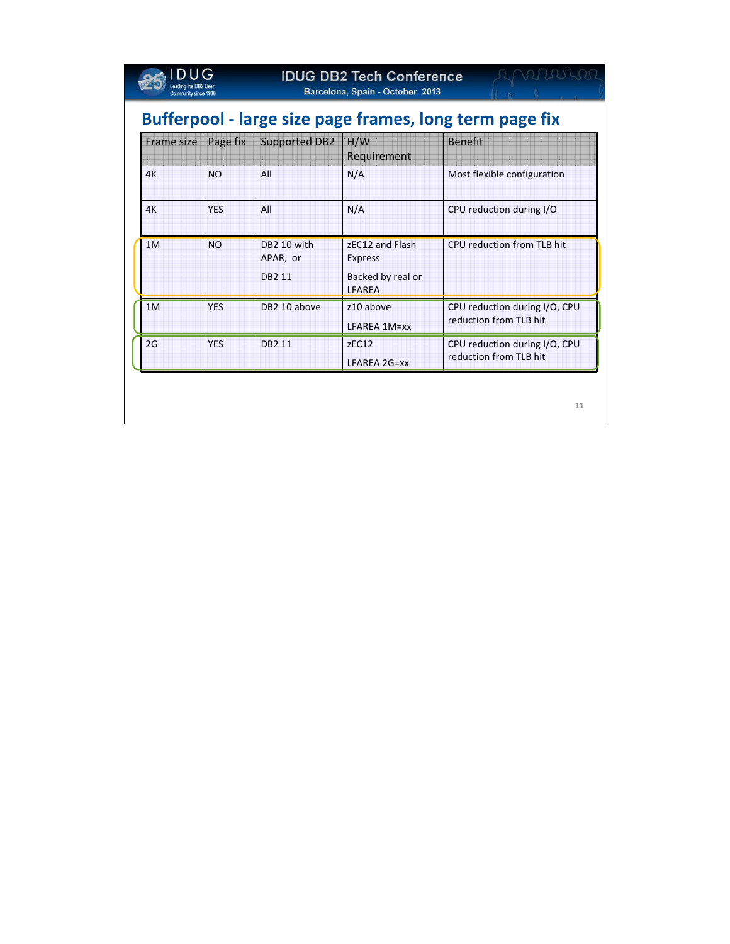| $\sqcup$ G<br>Community since 1988 |                                                         |            | <b>IDUG DB2 Tech Conference</b><br>Barcelona, Spain - October 2013 |                                    |                                                         |  |  |  |  |  |  |  |
|------------------------------------|---------------------------------------------------------|------------|--------------------------------------------------------------------|------------------------------------|---------------------------------------------------------|--|--|--|--|--|--|--|
|                                    | Bufferpool - large size page frames, long term page fix |            |                                                                    |                                    |                                                         |  |  |  |  |  |  |  |
|                                    | Frame size                                              | Page fix   | <b>Supported DB2</b>                                               | H/W<br>Requirement                 | <b>Benefit</b>                                          |  |  |  |  |  |  |  |
|                                    | 4K                                                      | <b>NO</b>  | All                                                                | N/A                                | Most flexible configuration                             |  |  |  |  |  |  |  |
|                                    | 4K                                                      | <b>YFS</b> | All                                                                | N/A                                | CPU reduction during I/O                                |  |  |  |  |  |  |  |
|                                    | 1M                                                      | <b>NO</b>  | DB2 10 with<br>APAR, or                                            | zEC12 and Flash<br><b>Express</b>  | CPU reduction from TLB hit                              |  |  |  |  |  |  |  |
|                                    |                                                         |            | <b>DB2 11</b>                                                      | Backed by real or<br><b>LFAREA</b> |                                                         |  |  |  |  |  |  |  |
|                                    | 1M                                                      | <b>YES</b> | DB2 10 above                                                       | z10 above<br>LFAREA 1M=xx          | CPU reduction during I/O, CPU<br>reduction from TLB hit |  |  |  |  |  |  |  |
|                                    | 2G                                                      | <b>YES</b> | <b>DB2 11</b>                                                      | zEC12<br>LFAREA 2G=xx              | CPU reduction during I/O, CPU<br>reduction from TLB hit |  |  |  |  |  |  |  |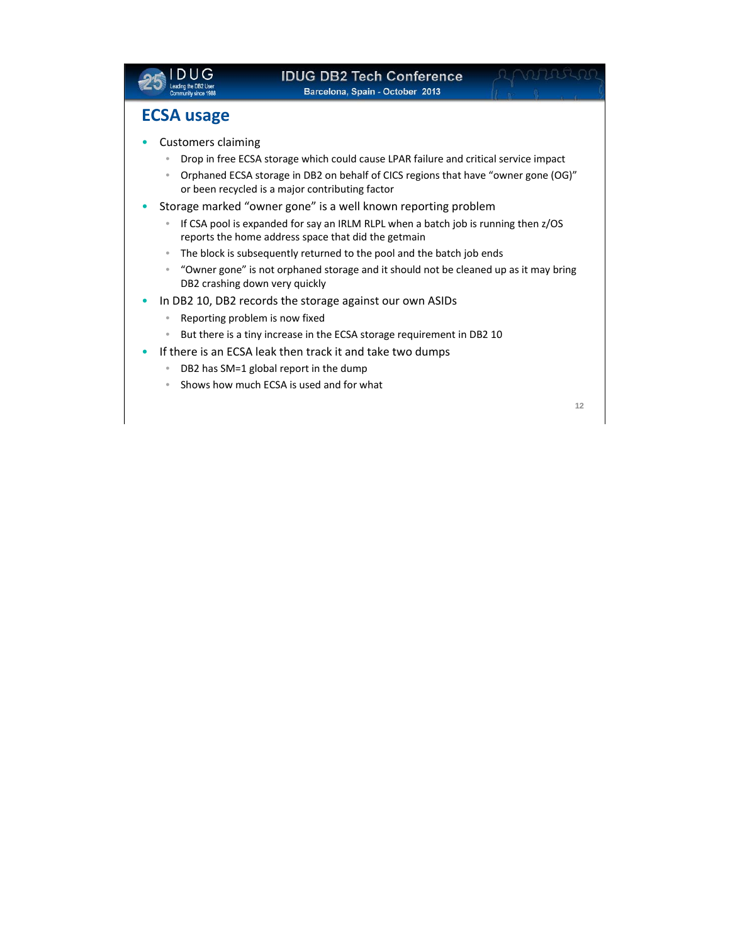

## **ECSA usage**

### • Customers claiming

- Drop in free ECSA storage which could cause LPAR failure and critical service impact
- Orphaned ECSA storage in DB2 on behalf of CICS regions that have "owner gone (OG)" or been recycled is a major contributing factor
- Storage marked "owner gone" is a well known reporting problem
	- If CSA pool is expanded for say an IRLM RLPL when a batch job is running then z/OS reports the home address space that did the getmain
	- The block is subsequently returned to the pool and the batch job ends
	- "Owner gone" is not orphaned storage and it should not be cleaned up as it may bring DB2 crashing down very quickly
- In DB2 10, DB2 records the storage against our own ASIDs
	- Reporting problem is now fixed
	- But there is a tiny increase in the ECSA storage requirement in DB2 10
- If there is an ECSA leak then track it and take two dumps
	- DB2 has SM=1 global report in the dump
	- Shows how much ECSA is used and for what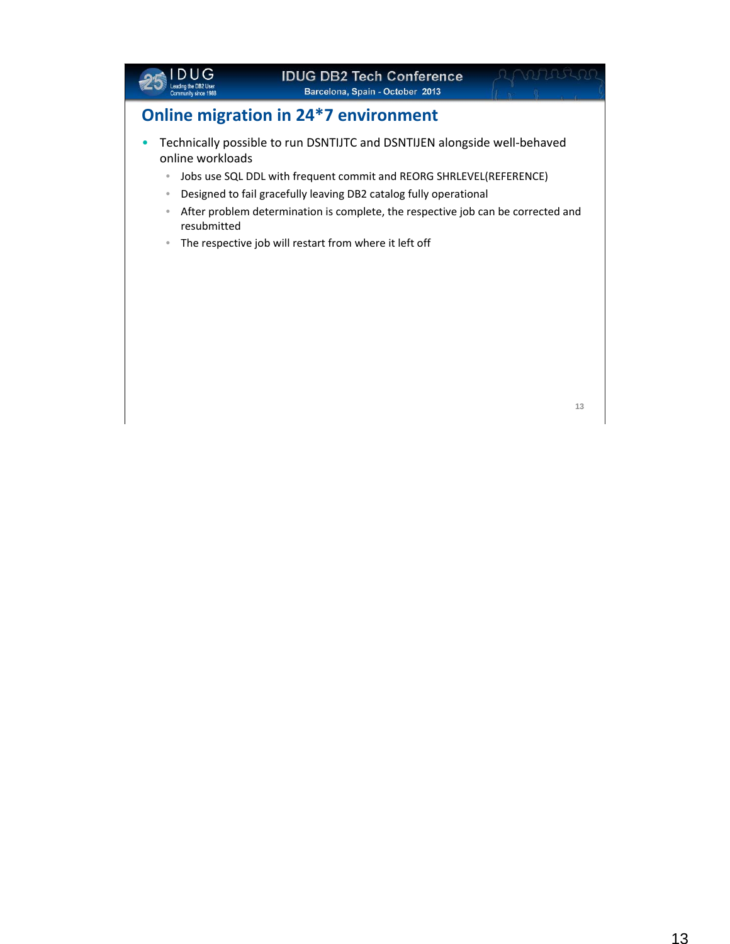

# **IDUG DB2 Tech Conference**

**Barcelona, Spain - October 2013** 

711520

# **Online migration in 24\*7 environment**

- Technically possible to run DSNTIJTC and DSNTIJEN alongside well‐behaved online workloads
	- Jobs use SQL DDL with frequent commit and REORG SHRLEVEL(REFERENCE)
	- Designed to fail gracefully leaving DB2 catalog fully operational
	- After problem determination is complete, the respective job can be corrected and resubmitted
	- The respective job will restart from where it left off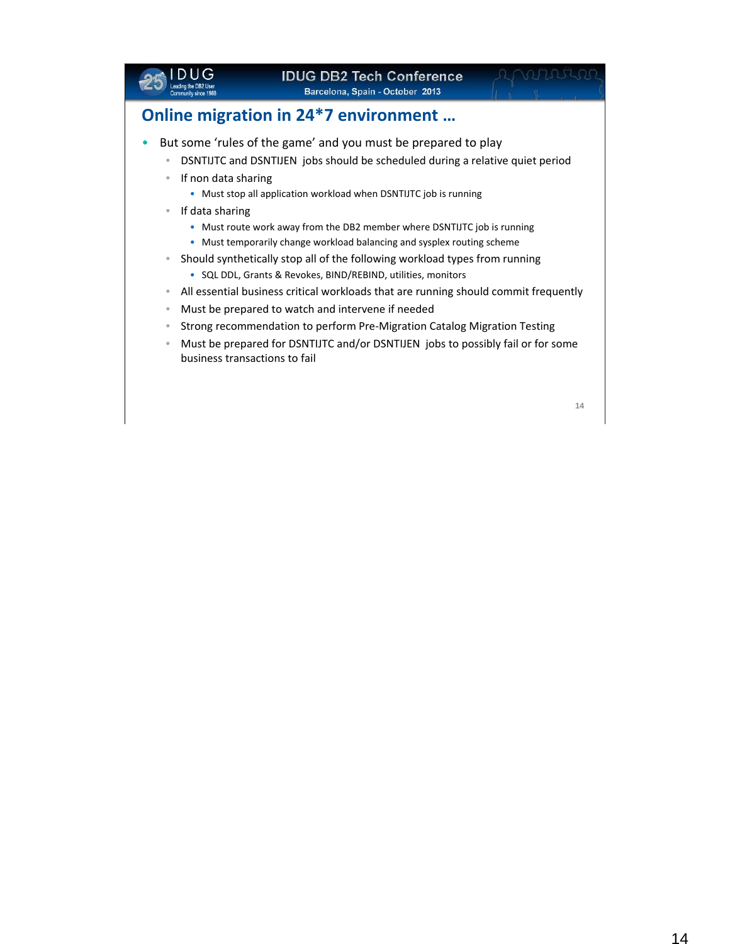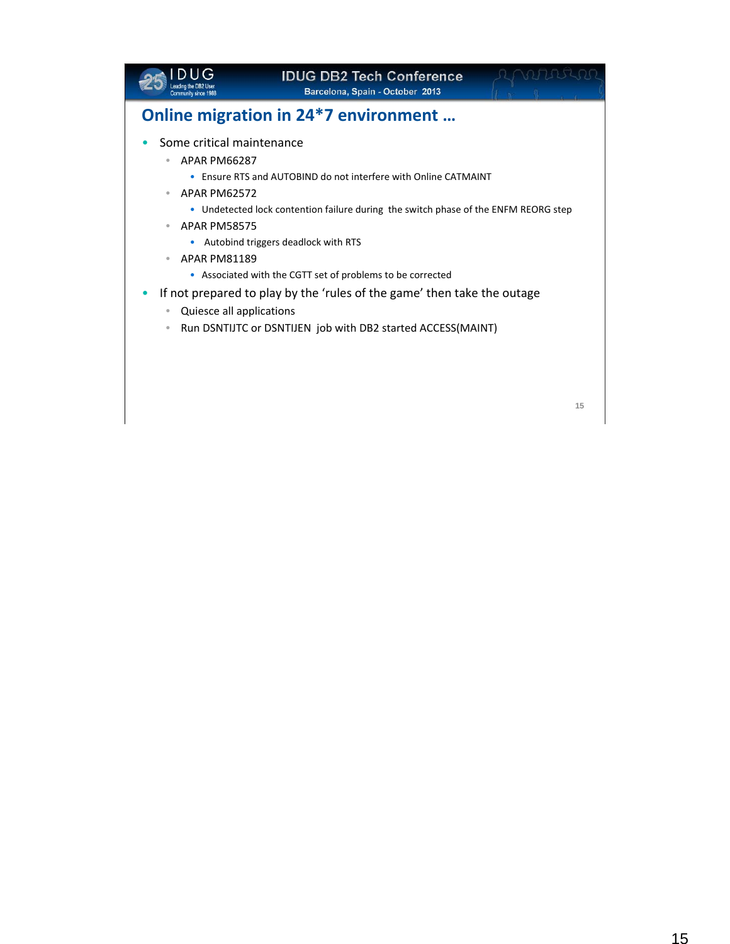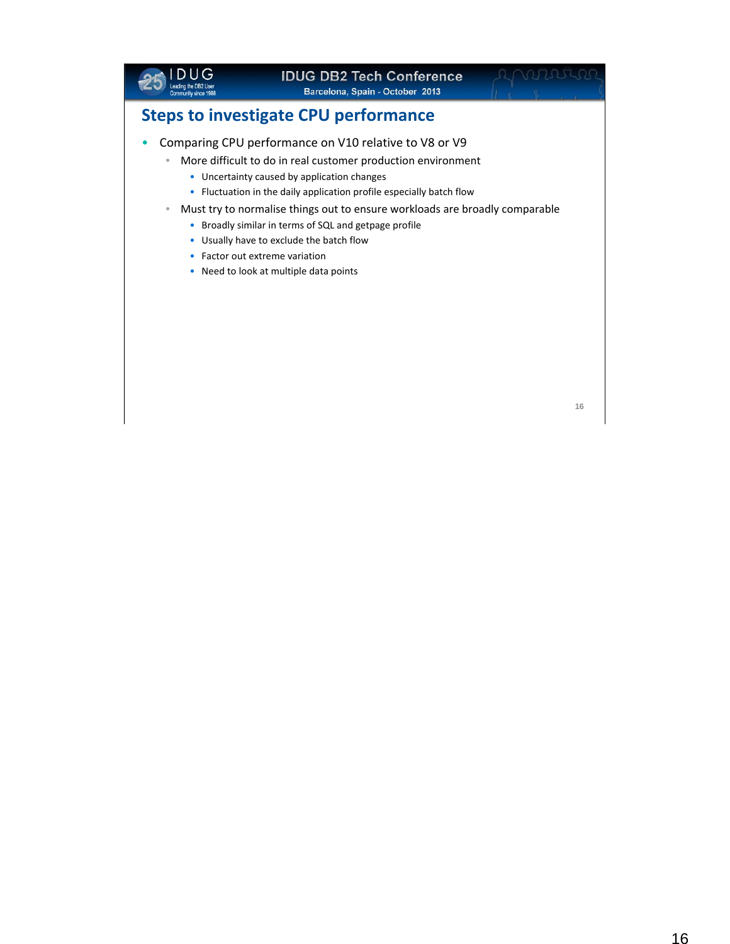

# **IDUG DB2 Tech Conference**

**Barcelona, Spain - October 2013** 

# **Steps to investigate CPU performance**

- Comparing CPU performance on V10 relative to V8 or V9
	- More difficult to do in real customer production environment
		- Uncertainty caused by application changes
		- Fluctuation in the daily application profile especially batch flow
	- Must try to normalise things out to ensure workloads are broadly comparable
		- Broadly similar in terms of SQL and getpage profile
		- Usually have to exclude the batch flow
		- Factor out extreme variation
		- Need to look at multiple data points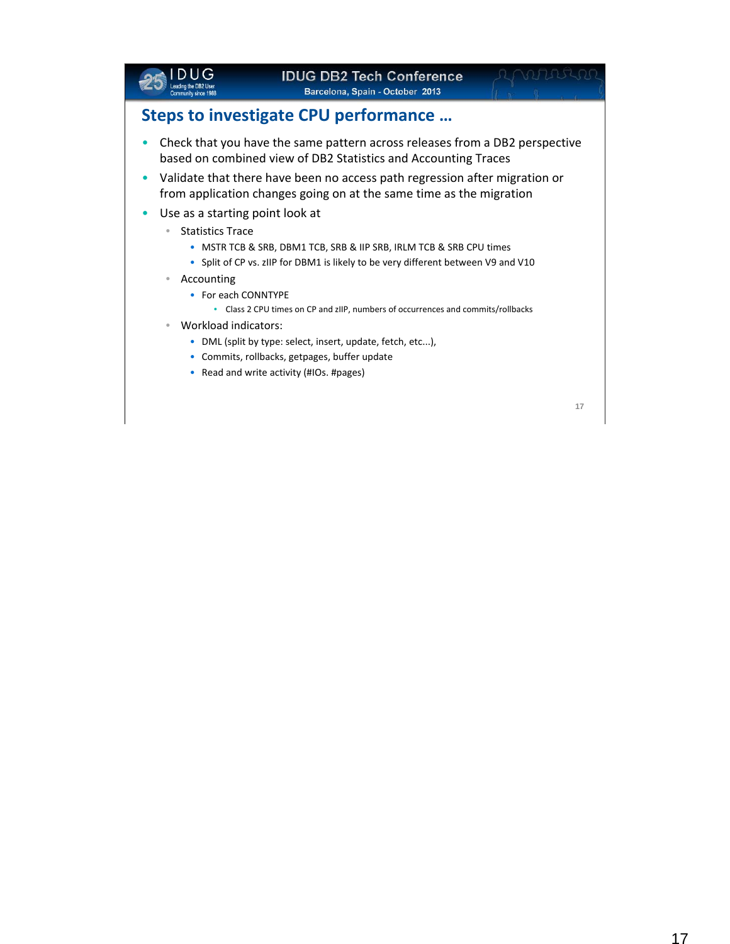

## **Steps to investigate CPU performance …**

- Check that you have the same pattern across releases from a DB2 perspective based on combined view of DB2 Statistics and Accounting Traces
- Validate that there have been no access path regression after migration or from application changes going on at the same time as the migration
- Use as a starting point look at
	- Statistics Trace
		- MSTR TCB & SRB, DBM1 TCB, SRB & IIP SRB, IRLM TCB & SRB CPU times
		- Split of CP vs. zIIP for DBM1 is likely to be very different between V9 and V10
	- Accounting
		- For each CONNTYPE
			- Class 2 CPU times on CP and zIIP, numbers of occurrences and commits/rollbacks
	- Workload indicators:
		- DML (split by type: select, insert, update, fetch, etc...),
		- Commits, rollbacks, getpages, buffer update
		- Read and write activity (#IOs. #pages)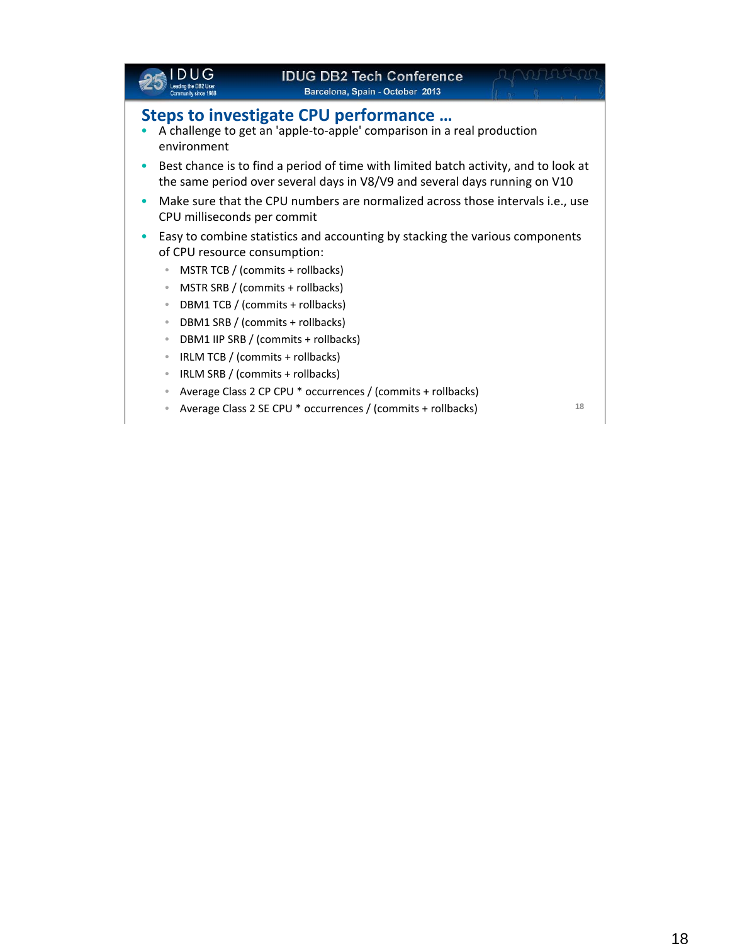|                                           | <b>IDUG DB2 Tech Conference</b><br>Barcelona, Spain - October 2013                                                                                                |  |
|-------------------------------------------|-------------------------------------------------------------------------------------------------------------------------------------------------------------------|--|
| environment                               | Steps to investigate CPU performance<br>A challenge to get an 'apple-to-apple' comparison in a real production                                                    |  |
|                                           | Best chance is to find a period of time with limited batch activity, and to look at<br>the same period over several days in V8/V9 and several days running on V10 |  |
| $\bullet$<br>CPU milliseconds per commit  | Make sure that the CPU numbers are normalized across those intervals i.e., use                                                                                    |  |
| $\bullet$<br>of CPU resource consumption: | Easy to combine statistics and accounting by stacking the various components                                                                                      |  |
| $\bullet$                                 | MSTR TCB / (commits + rollbacks)<br>MSTR SRB / (commits + rollbacks)                                                                                              |  |
| $\bullet$<br>$\bullet$                    | DBM1 TCB / (commits + rollbacks)<br>DBM1 SRB / (commits + rollbacks)                                                                                              |  |
| $\bullet$<br>$\bullet$                    | DBM1 IIP SRB / (commits + rollbacks)<br>IRLM TCB / (commits + rollbacks)                                                                                          |  |
| $\bullet$                                 | IRLM SRB / (commits + rollbacks)<br>Average Class 2 CP CPU * occurrences / (commits + rollbacks)                                                                  |  |
|                                           |                                                                                                                                                                   |  |

• Average Class 2 SE CPU \* occurrences / (commits + rollbacks) **<sup>18</sup>**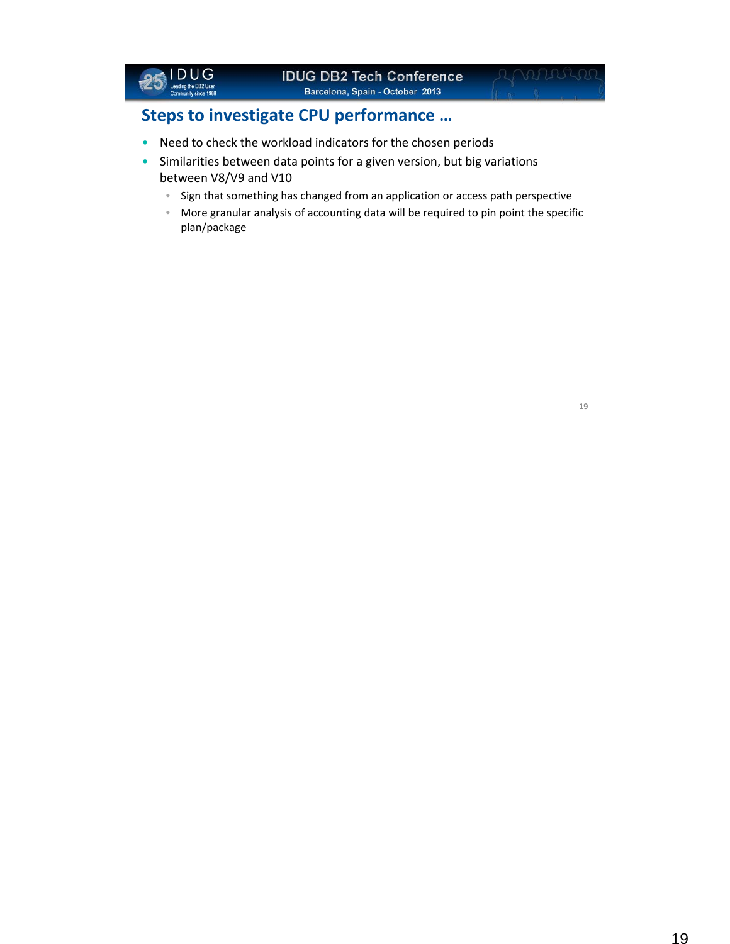

nnssa

# **Steps to investigate CPU performance …**

- Need to check the workload indicators for the chosen periods
- Similarities between data points for a given version, but big variations between V8/V9 and V10
	- Sign that something has changed from an application or access path perspective
	- More granular analysis of accounting data will be required to pin point the specific plan/package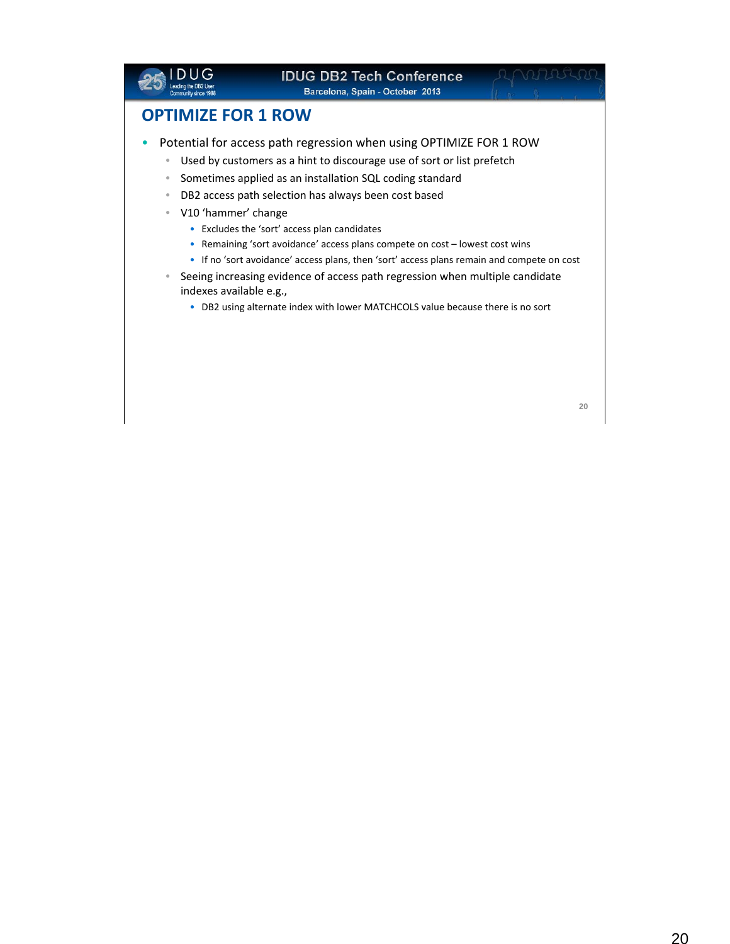|                                                                                                                                             | <b>IDUG DB2 Tech Conference</b><br>Barcelona, Spain - October 2013                                                                                                                                                                                                                                                                                                                                                                                                                                                                                                                                                                                              |  |
|---------------------------------------------------------------------------------------------------------------------------------------------|-----------------------------------------------------------------------------------------------------------------------------------------------------------------------------------------------------------------------------------------------------------------------------------------------------------------------------------------------------------------------------------------------------------------------------------------------------------------------------------------------------------------------------------------------------------------------------------------------------------------------------------------------------------------|--|
| <b>OPTIMIZE FOR 1 ROW</b>                                                                                                                   |                                                                                                                                                                                                                                                                                                                                                                                                                                                                                                                                                                                                                                                                 |  |
| $\bullet$<br>$\bullet$<br>$\qquad \qquad \bullet$<br>V10 'hammer' change<br>$\bullet$<br>$\qquad \qquad \bullet$<br>indexes available e.g., | Potential for access path regression when using OPTIMIZE FOR 1 ROW<br>Used by customers as a hint to discourage use of sort or list prefetch<br>Sometimes applied as an installation SQL coding standard<br>DB2 access path selection has always been cost based<br>• Excludes the 'sort' access plan candidates<br>Remaining 'sort avoidance' access plans compete on cost – lowest cost wins<br>• If no 'sort avoidance' access plans, then 'sort' access plans remain and compete on cost<br>Seeing increasing evidence of access path regression when multiple candidate<br>• DB2 using alternate index with lower MATCHCOLS value because there is no sort |  |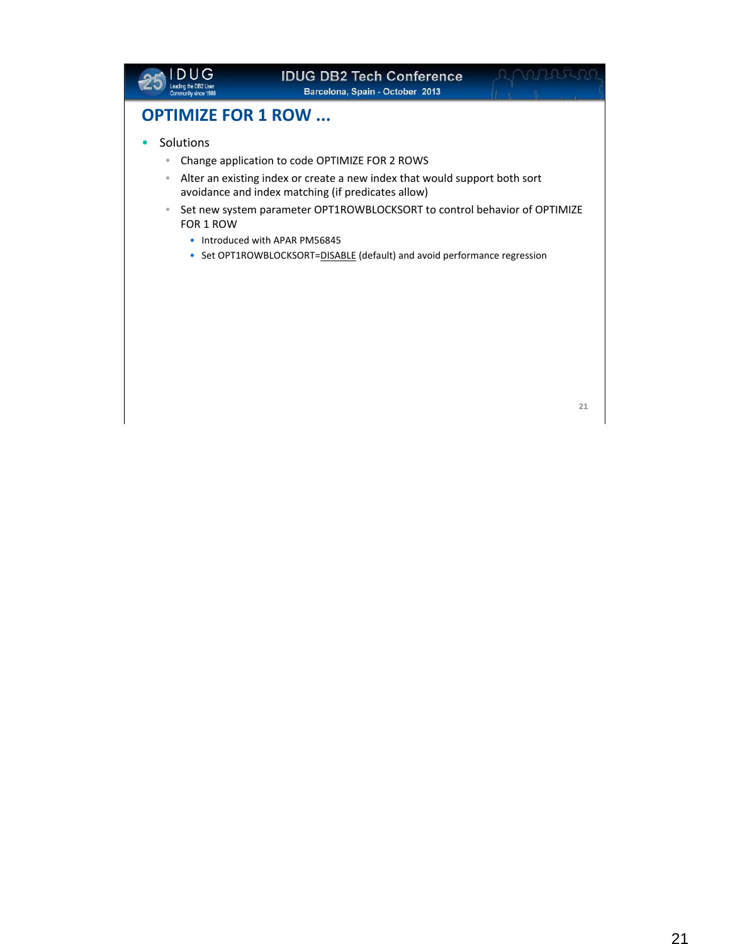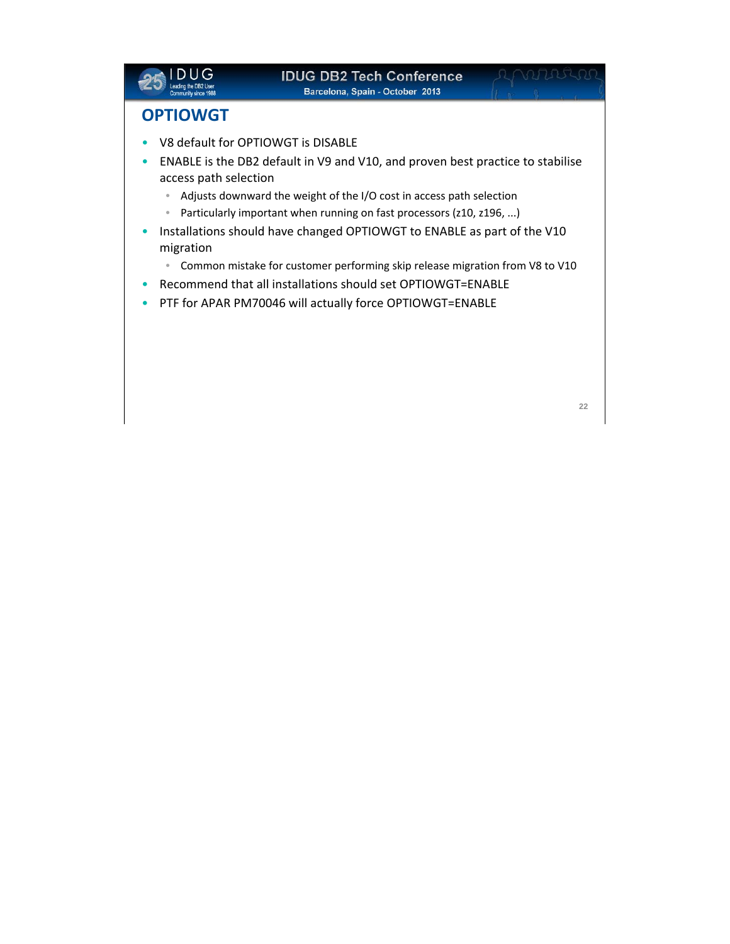

# WATERS

## **OPTIOWGT**

- V8 default for OPTIOWGT is DISABLE
- ENABLE is the DB2 default in V9 and V10, and proven best practice to stabilise access path selection
	- Adjusts downward the weight of the I/O cost in access path selection
	- Particularly important when running on fast processors (z10, z196, ...)
- Installations should have changed OPTIOWGT to ENABLE as part of the V10 migration
	- Common mistake for customer performing skip release migration from V8 to V10
- Recommend that all installations should set OPTIOWGT=ENABLE
- PTF for APAR PM70046 will actually force OPTIOWGT=ENABLE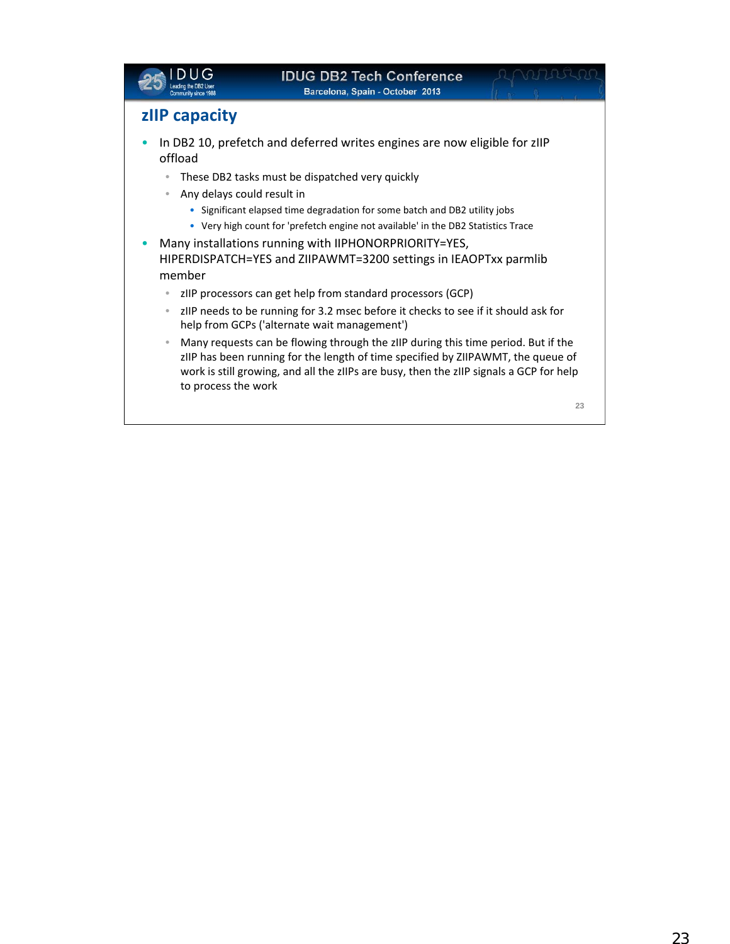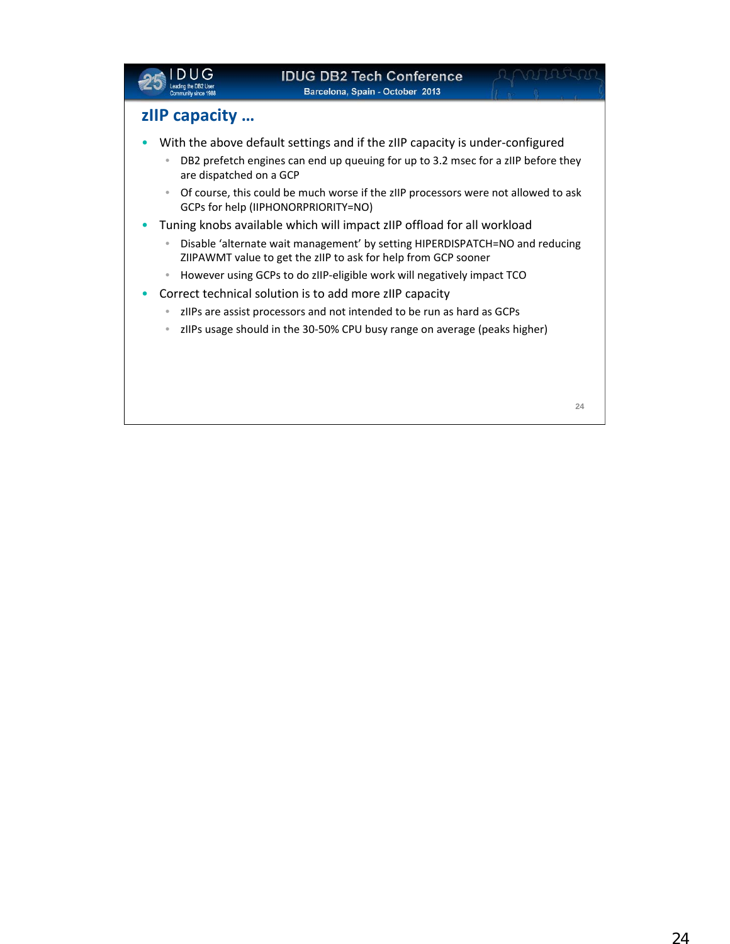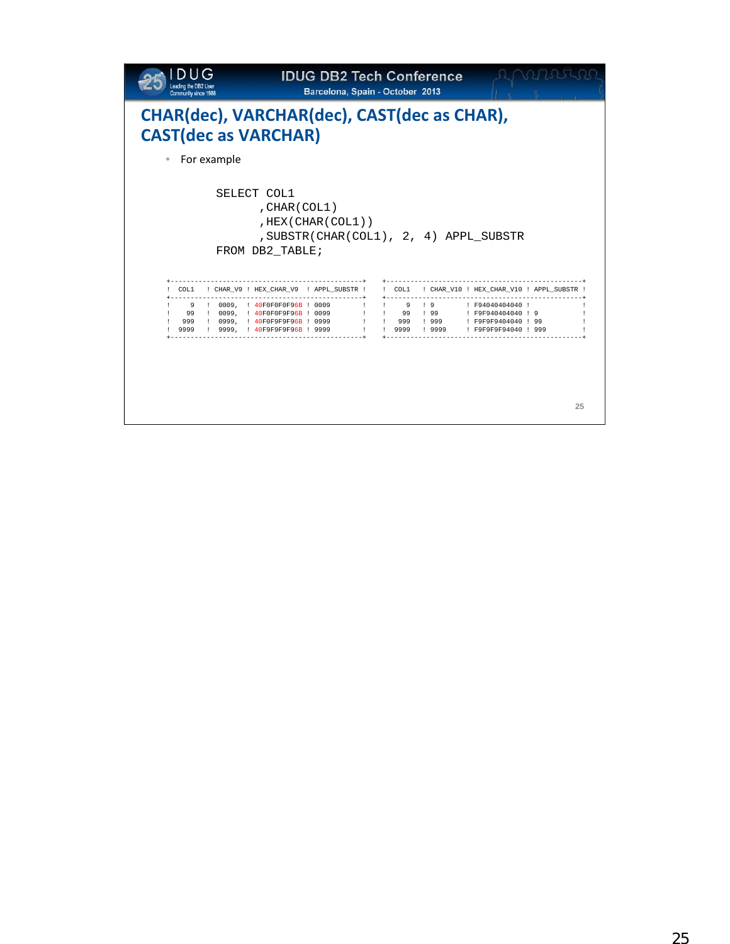| eading the DB2<br>Community since 1988 |             |                                                                            | <b>IDUG DB2 Tech Conference</b><br>Barcelona, Spain - October 2013 |                     |                           |              |                                                                                                                                       |    |
|----------------------------------------|-------------|----------------------------------------------------------------------------|--------------------------------------------------------------------|---------------------|---------------------------|--------------|---------------------------------------------------------------------------------------------------------------------------------------|----|
|                                        |             | CHAR(dec), VARCHAR(dec), CAST(dec as CHAR),<br><b>CAST(dec as VARCHAR)</b> |                                                                    |                     |                           |              |                                                                                                                                       |    |
|                                        | For example |                                                                            |                                                                    |                     |                           |              |                                                                                                                                       |    |
|                                        |             | , CHAR (COL1)<br>FROM DB2_TABLE;<br>-----------------------------------    | , HEX (CHAR (COL1))                                                |                     | $+ - - - - - - - - - - -$ |              | SUBSTR(CHAR(COL1), 2, 4) APPL SUBSTR<br>COL1 : CHAR_V9 : HEX_CHAR_V9 : APPL_SUBSTR : : COL1 : CHAR_V10 : HEX_CHAR_V10 : APPL_SUBSTR : |    |
|                                        |             | 9 : 0009, : 40F0F0F0F96B : 0009                                            |                                                                    | <b>The Contract</b> |                           |              | $\frac{1}{2}$ 9 $\frac{1}{2}$ 9 $\frac{1}{2}$ F94040404040 $\frac{1}{2}$                                                              |    |
|                                        |             | 99 : 0099, : 40F0F0F9F96B : 0099<br>999 ! 0999, ! 40F0F9F9F96B ! 0999      |                                                                    |                     |                           | !! 999 ! 999 | !! 99 ! 99 !! F9F940404040 ! 9<br>: F9F9F9404040 ! 99                                                                                 |    |
|                                        |             |                                                                            |                                                                    |                     |                           |              |                                                                                                                                       | 25 |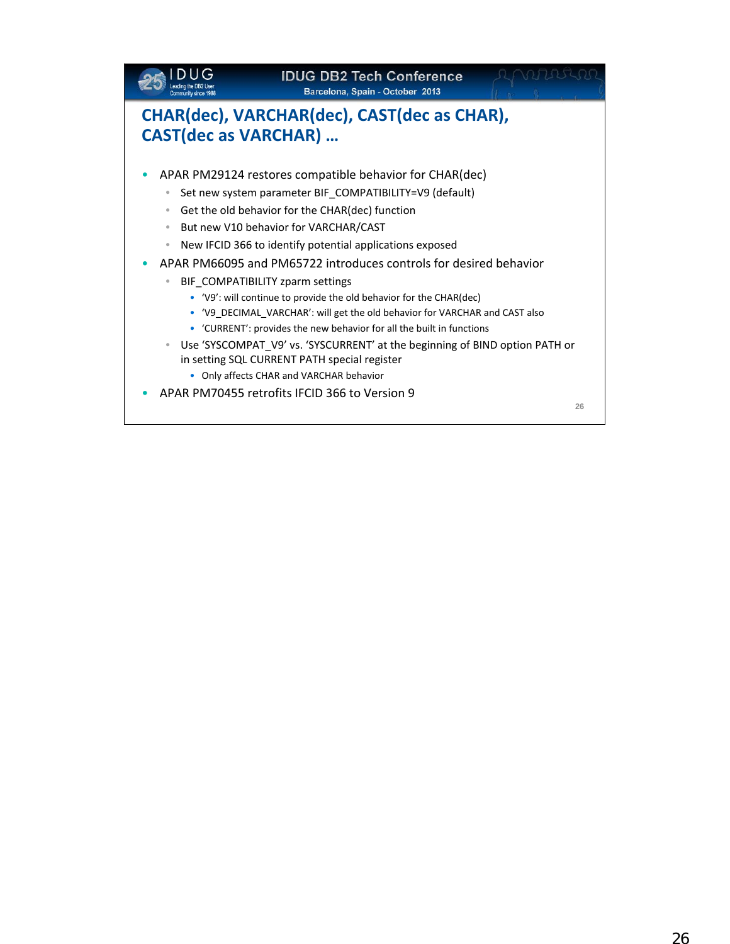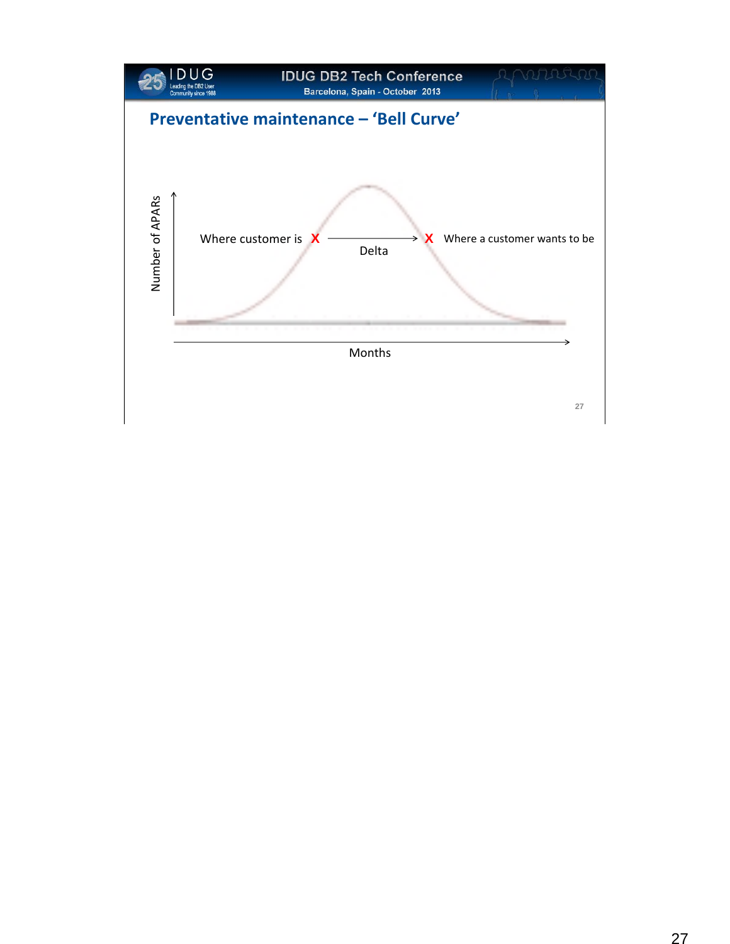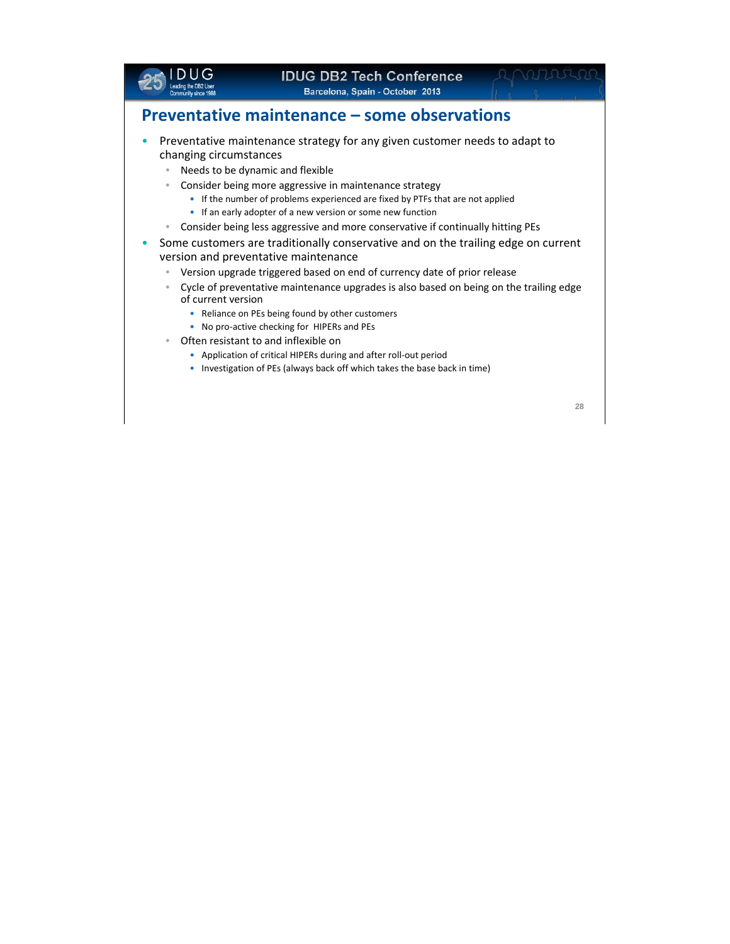

## **IDUG DB2 Tech Conference**

**Barcelona, Spain - October** 2013

## **Preventative maintenance – some observations**

- Preventative maintenance strategy for any given customer needs to adapt to changing circumstances
	- Needs to be dynamic and flexible
	- Consider being more aggressive in maintenance strategy
		- If the number of problems experienced are fixed by PTFs that are not applied
		- If an early adopter of a new version or some new function
	- Consider being less aggressive and more conservative if continually hitting PEs
- Some customers are traditionally conservative and on the trailing edge on current version and preventative maintenance
	- Version upgrade triggered based on end of currency date of prior release
	- Cycle of preventative maintenance upgrades is also based on being on the trailing edge of current version
		- Reliance on PEs being found by other customers
		- No pro‐active checking for HIPERs and PEs
	- Often resistant to and inflexible on
		- Application of critical HIPERs during and after roll‐out period
		- Investigation of PEs (always back off which takes the base back in time)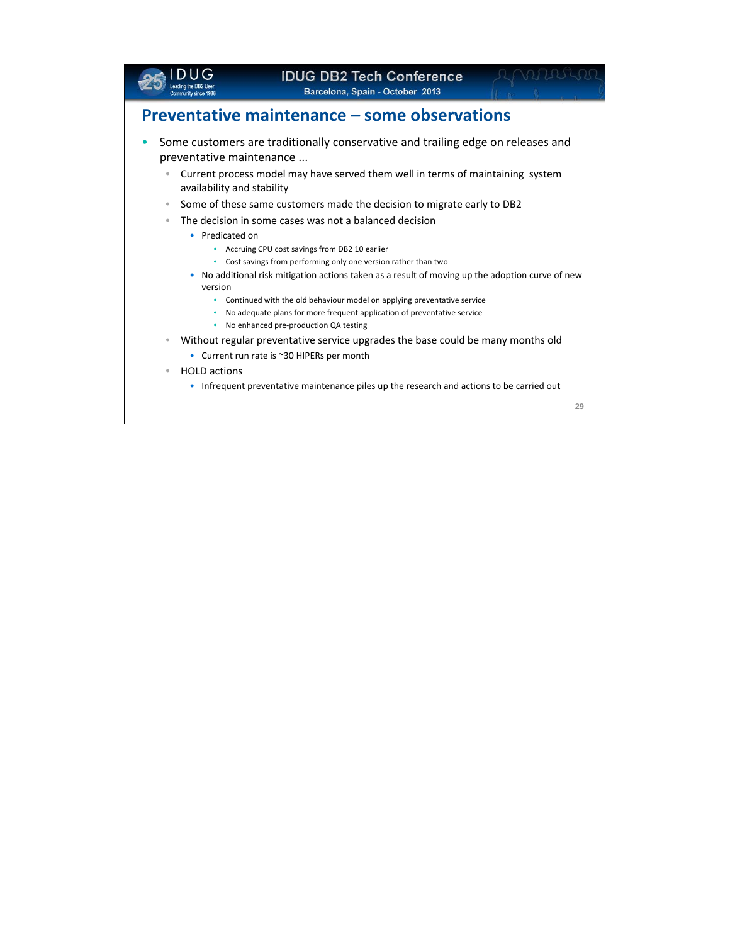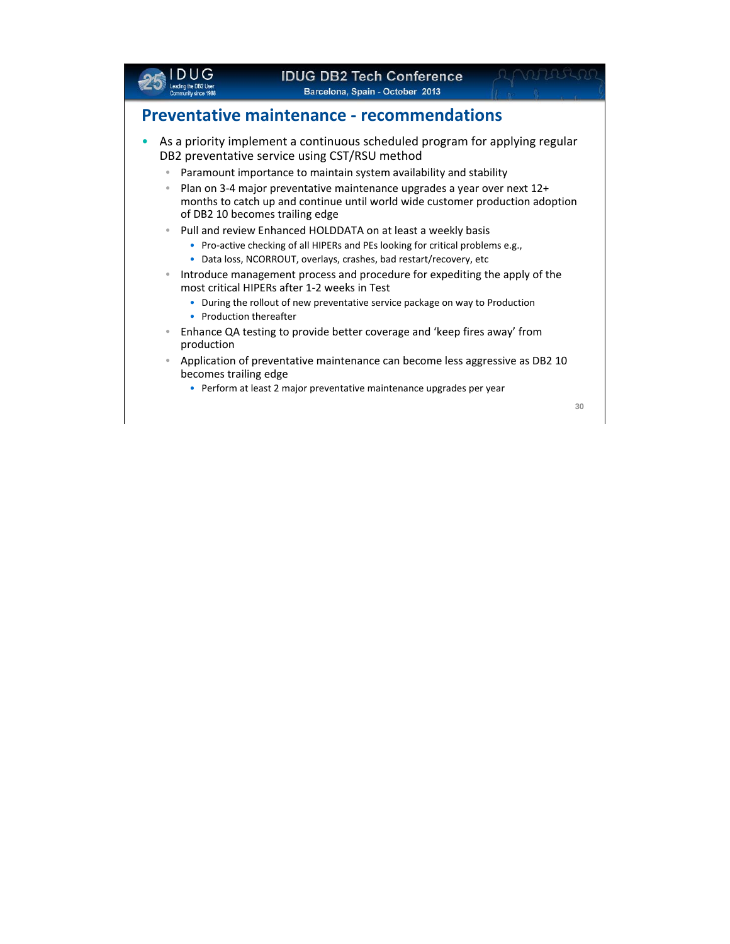

## **Preventative maintenance ‐ recommendations**

- As a priority implement a continuous scheduled program for applying regular DB2 preventative service using CST/RSU method
	- Paramount importance to maintain system availability and stability
	- Plan on 3‐4 major preventative maintenance upgrades a year over next 12+ months to catch up and continue until world wide customer production adoption of DB2 10 becomes trailing edge
	- Pull and review Enhanced HOLDDATA on at least a weekly basis
		- Pro-active checking of all HIPERs and PEs looking for critical problems e.g.,
		- Data loss, NCORROUT, overlays, crashes, bad restart/recovery, etc
	- Introduce management process and procedure for expediting the apply of the most critical HIPERs after 1‐2 weeks in Test
		- During the rollout of new preventative service package on way to Production
		- Production thereafter
	- Enhance QA testing to provide better coverage and 'keep fires away' from production
	- Application of preventative maintenance can become less aggressive as DB2 10 becomes trailing edge
		- Perform at least 2 major preventative maintenance upgrades per year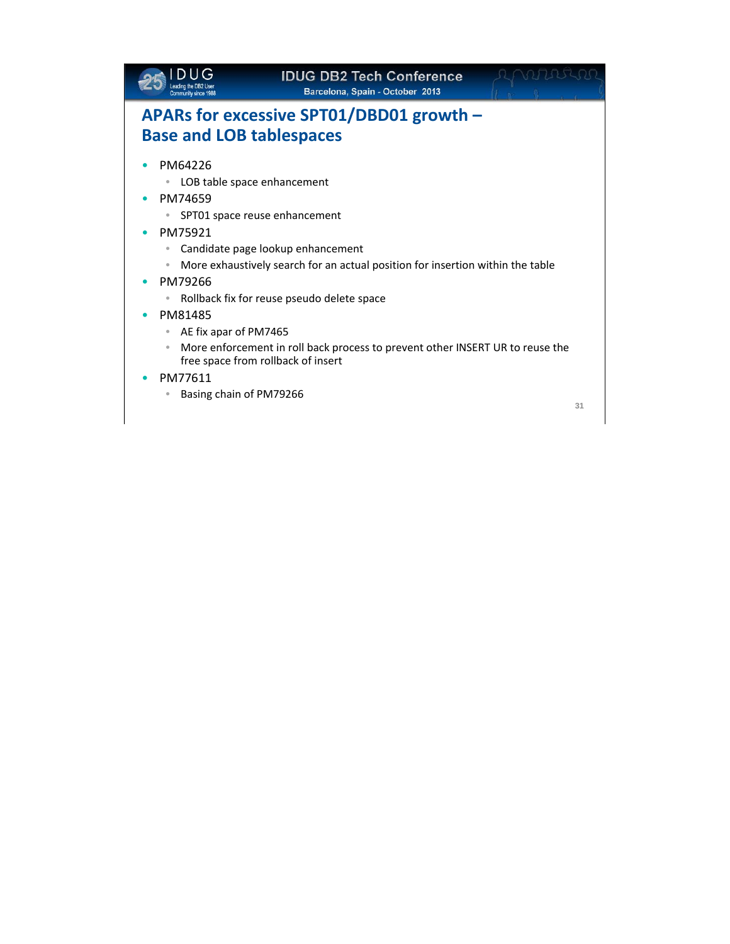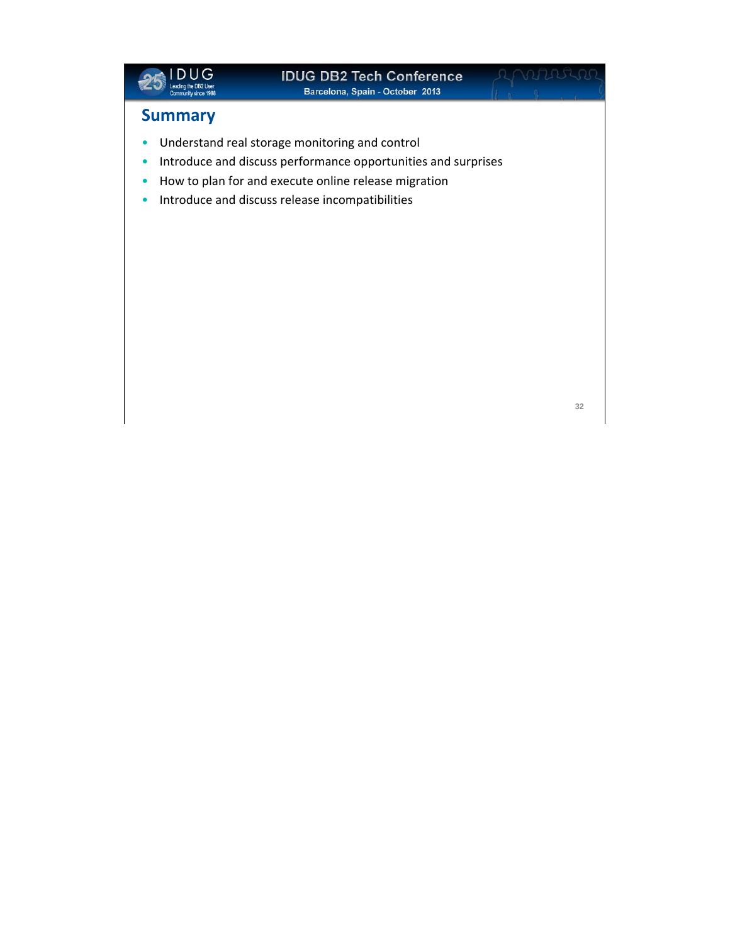

## **Summary**

- Understand real storage monitoring and control
- Introduce and discuss performance opportunities and surprises
- How to plan for and execute online release migration
- Introduce and discuss release incompatibilities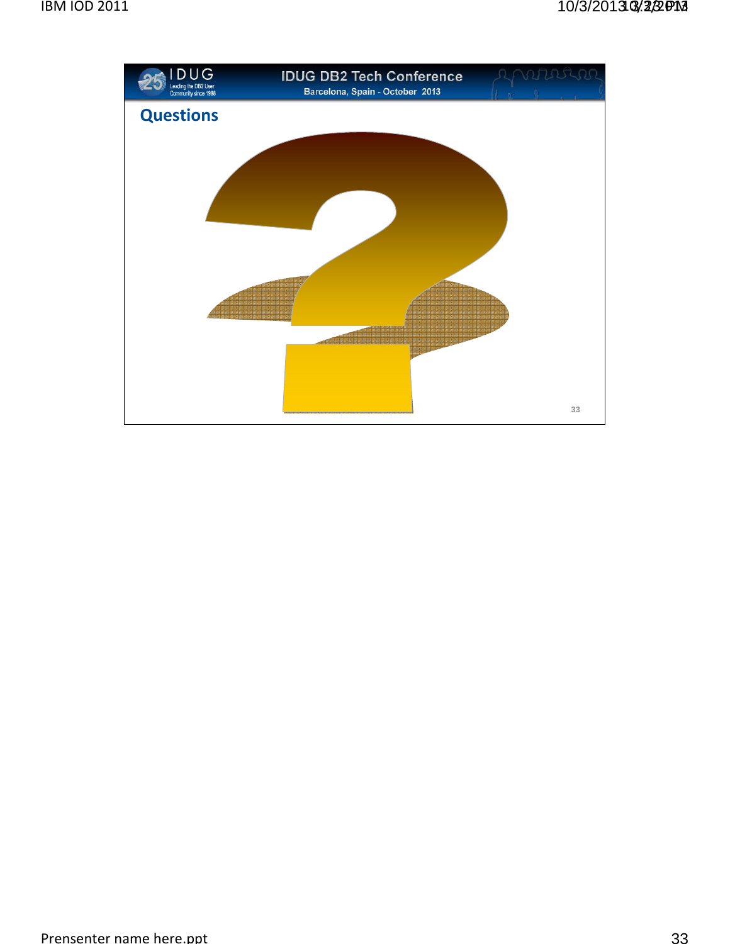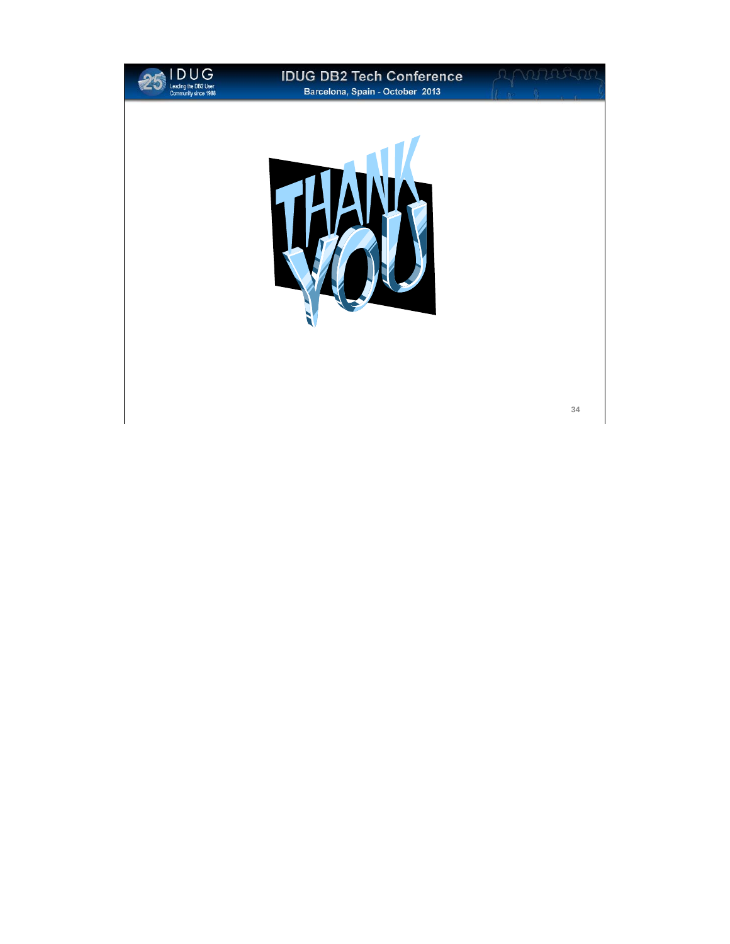